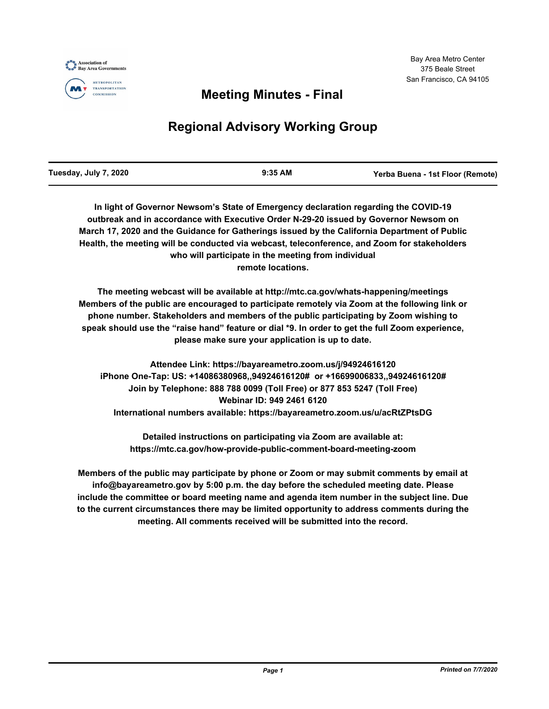





## **Meeting Minutes - Final**

# **Regional Advisory Working Group**

| Tuesday, July 7, 2020 | 9:35 AM | Yerba Buena - 1st Floor (Remote) |
|-----------------------|---------|----------------------------------|
|                       |         |                                  |

**In light of Governor Newsom's State of Emergency declaration regarding the COVID-19 outbreak and in accordance with Executive Order N-29-20 issued by Governor Newsom on March 17, 2020 and the Guidance for Gatherings issued by the California Department of Public Health, the meeting will be conducted via webcast, teleconference, and Zoom for stakeholders who will participate in the meeting from individual remote locations.**

**The meeting webcast will be available at http://mtc.ca.gov/whats-happening/meetings Members of the public are encouraged to participate remotely via Zoom at the following link or phone number. Stakeholders and members of the public participating by Zoom wishing to speak should use the "raise hand" feature or dial \*9. In order to get the full Zoom experience, please make sure your application is up to date.**

**Attendee Link: https://bayareametro.zoom.us/j/94924616120 iPhone One-Tap: US: +14086380968,,94924616120# or +16699006833,,94924616120# Join by Telephone: 888 788 0099 (Toll Free) or 877 853 5247 (Toll Free) Webinar ID: 949 2461 6120 International numbers available: https://bayareametro.zoom.us/u/acRtZPtsDG**

**Detailed instructions on participating via Zoom are available at: https://mtc.ca.gov/how-provide-public-comment-board-meeting-zoom**

**Members of the public may participate by phone or Zoom or may submit comments by email at info@bayareametro.gov by 5:00 p.m. the day before the scheduled meeting date. Please include the committee or board meeting name and agenda item number in the subject line. Due to the current circumstances there may be limited opportunity to address comments during the meeting. All comments received will be submitted into the record.**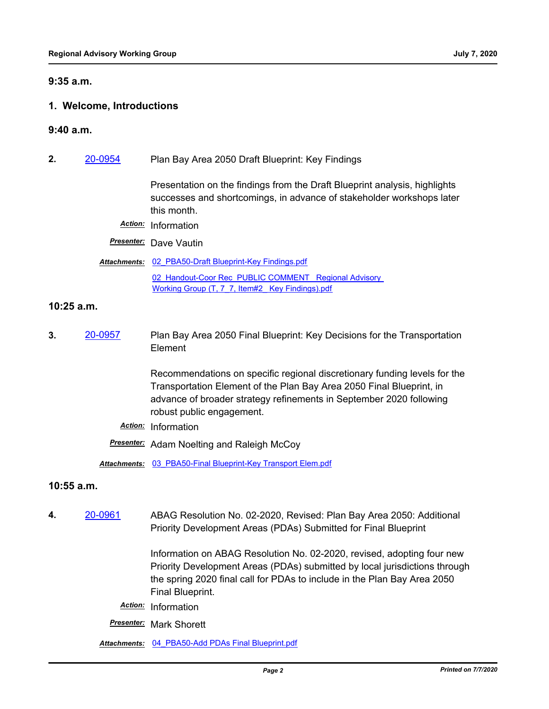#### **9:35 a.m.**

#### **1. Welcome, Introductions**

- **9:40 a.m.**
- **2.** [20-0954](http://mtc.legistar.com/gateway.aspx?m=l&id=/matter.aspx?key=20818) Plan Bay Area 2050 Draft Blueprint: Key Findings

Presentation on the findings from the Draft Blueprint analysis, highlights successes and shortcomings, in advance of stakeholder workshops later this month.

*Action:* Information

*Presenter:* Dave Vautin

#### Attachments: 02 PBA50-Draft Blueprint-Key Findings.pdf

02 Handout-Coor Rec\_PUBLIC COMMENT\_ Regional Advisory Working Group (T, 7\_7, Item#2\_ Key Findings).pdf

#### **10:25 a.m.**

**3.** [20-0957](http://mtc.legistar.com/gateway.aspx?m=l&id=/matter.aspx?key=20821) Plan Bay Area 2050 Final Blueprint: Key Decisions for the Transportation Element

> Recommendations on specific regional discretionary funding levels for the Transportation Element of the Plan Bay Area 2050 Final Blueprint, in advance of broader strategy refinements in September 2020 following robust public engagement.

*Action:* Information

*Presenter:* Adam Noelting and Raleigh McCoy

*Attachments:* [03\\_PBA50-Final Blueprint-Key Transport Elem.pdf](http://mtc.legistar.com/gateway.aspx?M=F&ID=04e2bfe4-5449-442f-89ca-e3c371b09867.pdf)

#### **10:55 a.m.**

**4.** [20-0961](http://mtc.legistar.com/gateway.aspx?m=l&id=/matter.aspx?key=20825) ABAG Resolution No. 02-2020, Revised: Plan Bay Area 2050: Additional Priority Development Areas (PDAs) Submitted for Final Blueprint

> Information on ABAG Resolution No. 02-2020, revised, adopting four new Priority Development Areas (PDAs) submitted by local jurisdictions through the spring 2020 final call for PDAs to include in the Plan Bay Area 2050 Final Blueprint.

- *Action:* Information
- *Presenter:* Mark Shorett

*Attachments:* [04\\_PBA50-Add PDAs Final Blueprint.pdf](http://mtc.legistar.com/gateway.aspx?M=F&ID=2a6a0e8b-9146-4a4c-99ae-5ffe671c02e2.pdf)